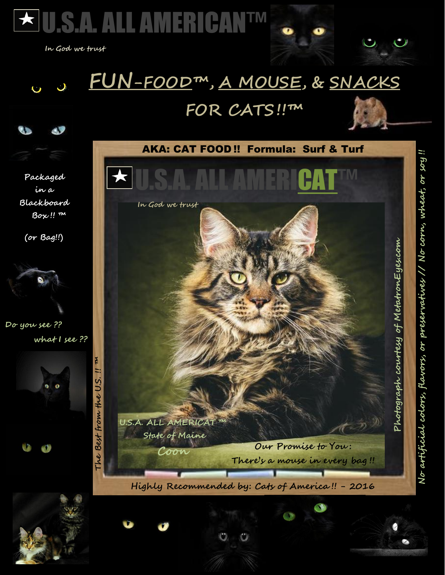

 **In God we trust**

## **FUN-FOOD™, A MOUSE, & SNACKS**

## **FOR CATS!!™**





**Packaged in a Blackboard Box !! ™**

**(or Bag!!)**



**Do you see ??**

 **what I see ??**











**No artificial colors, flavors, or preservatives // No corn, wheat, or soy !!**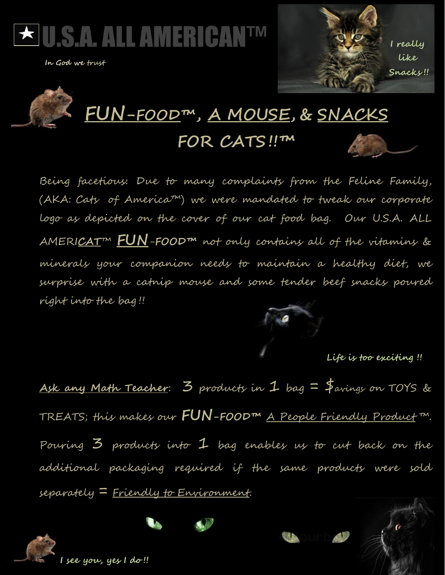

 **In God we trust**



## **FUN-FOOD™ , A MOUSE, & SNACKS FOR CATS!!™**

Being facetious: Due to many complaints from the Feline Family, (AKA: Cats of America™) we were mandated to tweak our corporate logo as depicted on the cover of our cat food bag. Our U.S.A. ALL AMERI**CAT**™ **FUN**-**FOOD™** not only contains all of the vitamins & minerals your companion needs to maintain a healthy diet, we surprise with a catnip mouse and some tender beef snacks poured right into the bag !!



**!!**

 **Life is too exciting !!** 

**Ask any Math Teacher**: 3 products in 1 bag = \$avings on TOYS & TREATS; this makes our **FUN-FOOD™** A People Friendly Product ™. Pouring  $3$  products into  $1$  bag enables us to cut back on the additional packaging required if the same products were sold separately = Friendly to Environment.



**I see you, yes I do !!**